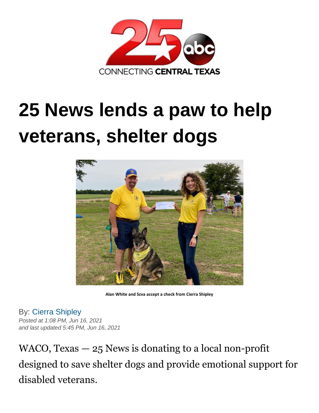

## **25 News lends a paw to help veterans, shelter dogs**



**Alan White and Szva accept a check from Cierra Shipley**

By: [Cierra Shipley](https://www.kxxv.com/cierra-shipley) *Posted at 1:08 PM, Jun 16, 2021 and last updated 5:45 PM, Jun 16, 2021*

WACO, Texas — 25 News is donating to a local non-profit designed to save shelter dogs and provide emotional support for disabled veterans.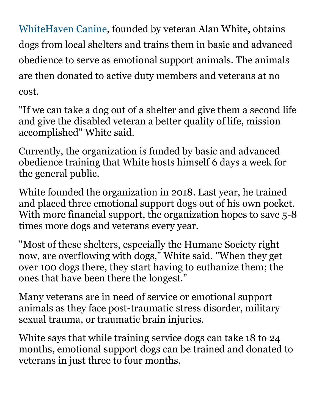[WhiteHaven Canine,](https://whitehavencanine.org/) founded by veteran Alan White, obtains dogs from local shelters and trains them in basic and advanced obedience to serve as emotional support animals. The animals are then donated to active duty members and veterans at no cost.

"If we can take a dog out of a shelter and give them a second life and give the disabled veteran a better quality of life, mission accomplished" White said.

Currently, the organization is funded by basic and advanced obedience training that White hosts himself 6 days a week for the general public.

White founded the organization in 2018. Last year, he trained and placed three emotional support dogs out of his own pocket. With more financial support, the organization hopes to save 5-8 times more dogs and veterans every year.

"Most of these shelters, especially the Humane Society right now, are overflowing with dogs," White said. "When they get over 100 dogs there, they start having to euthanize them; the ones that have been there the longest."

Many veterans are in need of service or emotional support animals as they face post-traumatic stress disorder, military sexual trauma, or traumatic brain injuries.

White says that while training service dogs can take 18 to 24 months, emotional support dogs can be trained and donated to veterans in just three to four months.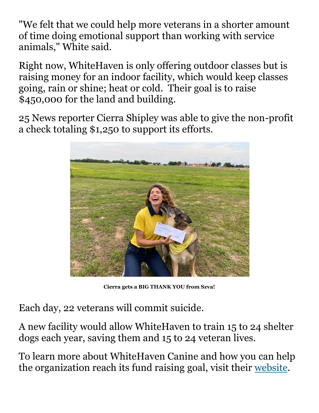"We felt that we could help more veterans in a shorter amount of time doing emotional support than working with service animals," White said.

Right now, WhiteHaven is only offering outdoor classes but is raising money for an indoor facility, which would keep classes going, rain or shine; heat or cold. Their goal is to raise \$450,000 for the land and building.

25 News reporter Cierra Shipley was able to give the non-profit a check totaling \$1,250 to support its efforts.



**Cierra gets a BIG THANK YOU from Szva!**

Each day, 22 veterans will commit suicide.

A new facility would allow WhiteHaven to train 15 to 24 shelter dogs each year, saving them and 15 to 24 veteran lives.

To learn more about WhiteHaven Canine and how you can help the organization reach its fund raising goal, visit their [website.](https://whitehavencanine.org/)